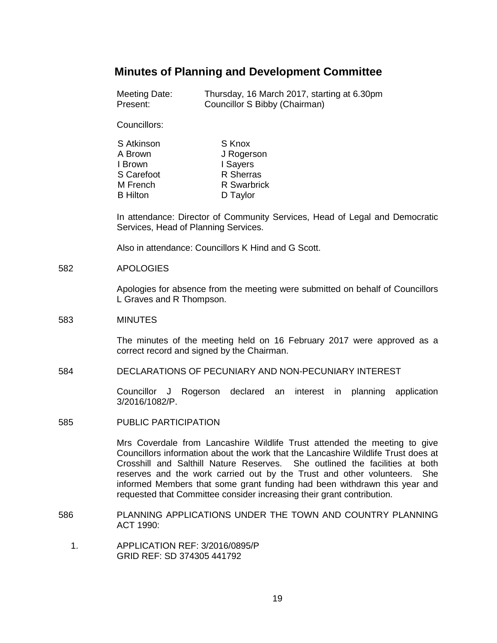# **Minutes of Planning and Development Committee**

| Meeting Date: | Thursday, 16 March 2017, starting at 6.30pm |
|---------------|---------------------------------------------|
| Present:      | Councillor S Bibby (Chairman)               |

Councillors:

| S Atkinson      | S Knox      |
|-----------------|-------------|
| A Brown         | J Rogerson  |
| I Brown         | I Sayers    |
| S Carefoot      | R Sherras   |
| M French        | R Swarbrick |
| <b>B</b> Hilton | D Taylor    |

In attendance: Director of Community Services, Head of Legal and Democratic Services, Head of Planning Services.

Also in attendance: Councillors K Hind and G Scott.

#### 582 APOLOGIES

Apologies for absence from the meeting were submitted on behalf of Councillors L Graves and R Thompson.

#### 583 MINUTES

The minutes of the meeting held on 16 February 2017 were approved as a correct record and signed by the Chairman.

## 584 DECLARATIONS OF PECUNIARY AND NON-PECUNIARY INTEREST

Councillor J Rogerson declared an interest in planning application 3/2016/1082/P.

585 PUBLIC PARTICIPATION

Mrs Coverdale from Lancashire Wildlife Trust attended the meeting to give Councillors information about the work that the Lancashire Wildlife Trust does at Crosshill and Salthill Nature Reserves. She outlined the facilities at both reserves and the work carried out by the Trust and other volunteers. She informed Members that some grant funding had been withdrawn this year and requested that Committee consider increasing their grant contribution.

- 586 PLANNING APPLICATIONS UNDER THE TOWN AND COUNTRY PLANNING ACT 1990:
	- 1. APPLICATION REF: 3/2016/0895/P GRID REF: SD 374305 441792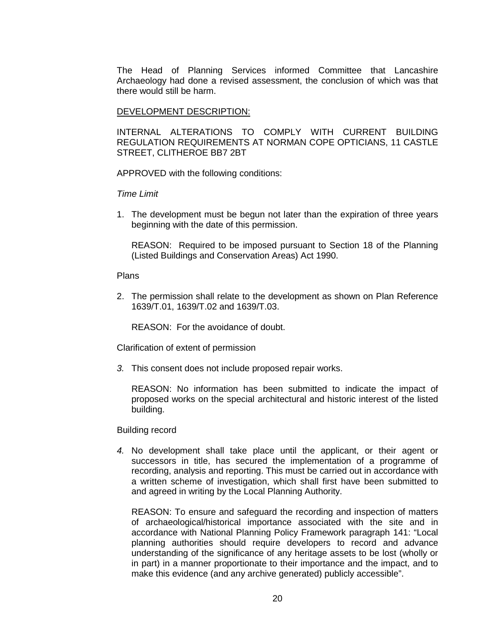The Head of Planning Services informed Committee that Lancashire Archaeology had done a revised assessment, the conclusion of which was that there would still be harm.

# DEVELOPMENT DESCRIPTION:

INTERNAL ALTERATIONS TO COMPLY WITH CURRENT BUILDING REGULATION REQUIREMENTS AT NORMAN COPE OPTICIANS, 11 CASTLE STREET, CLITHEROE BB7 2BT

APPROVED with the following conditions:

### *Time Limit*

1. The development must be begun not later than the expiration of three years beginning with the date of this permission.

REASON: Required to be imposed pursuant to Section 18 of the Planning (Listed Buildings and Conservation Areas) Act 1990.

#### Plans

2. The permission shall relate to the development as shown on Plan Reference 1639/T.01, 1639/T.02 and 1639/T.03.

REASON: For the avoidance of doubt.

Clarification of extent of permission

*3.* This consent does not include proposed repair works.

REASON: No information has been submitted to indicate the impact of proposed works on the special architectural and historic interest of the listed building.

#### Building record

*4.* No development shall take place until the applicant, or their agent or successors in title, has secured the implementation of a programme of recording, analysis and reporting. This must be carried out in accordance with a written scheme of investigation, which shall first have been submitted to and agreed in writing by the Local Planning Authority.

REASON: To ensure and safeguard the recording and inspection of matters of archaeological/historical importance associated with the site and in accordance with National Planning Policy Framework paragraph 141: "Local planning authorities should require developers to record and advance understanding of the significance of any heritage assets to be lost (wholly or in part) in a manner proportionate to their importance and the impact, and to make this evidence (and any archive generated) publicly accessible".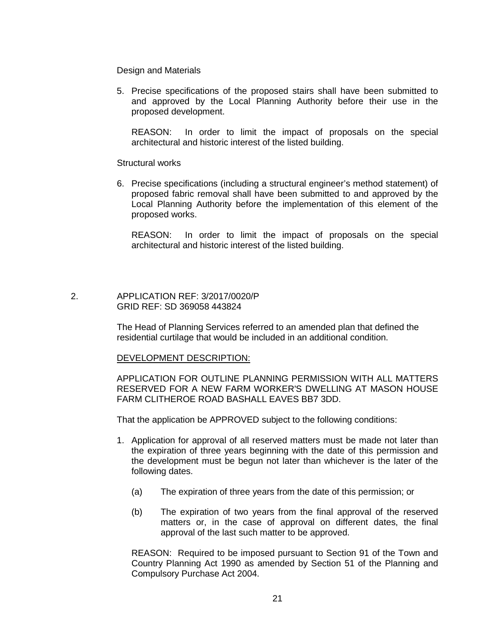Design and Materials

5. Precise specifications of the proposed stairs shall have been submitted to and approved by the Local Planning Authority before their use in the proposed development.

REASON: In order to limit the impact of proposals on the special architectural and historic interest of the listed building.

Structural works

6. Precise specifications (including a structural engineer's method statement) of proposed fabric removal shall have been submitted to and approved by the Local Planning Authority before the implementation of this element of the proposed works.

REASON: In order to limit the impact of proposals on the special architectural and historic interest of the listed building.

# 2. APPLICATION REF: 3/2017/0020/P GRID REF: SD 369058 443824

The Head of Planning Services referred to an amended plan that defined the residential curtilage that would be included in an additional condition.

# DEVELOPMENT DESCRIPTION:

APPLICATION FOR OUTLINE PLANNING PERMISSION WITH ALL MATTERS RESERVED FOR A NEW FARM WORKER'S DWELLING AT MASON HOUSE FARM CLITHEROE ROAD BASHALL EAVES BB7 3DD.

That the application be APPROVED subject to the following conditions:

- 1. Application for approval of all reserved matters must be made not later than the expiration of three years beginning with the date of this permission and the development must be begun not later than whichever is the later of the following dates.
	- (a) The expiration of three years from the date of this permission; or
	- (b) The expiration of two years from the final approval of the reserved matters or, in the case of approval on different dates, the final approval of the last such matter to be approved.

REASON: Required to be imposed pursuant to Section 91 of the Town and Country Planning Act 1990 as amended by Section 51 of the Planning and Compulsory Purchase Act 2004.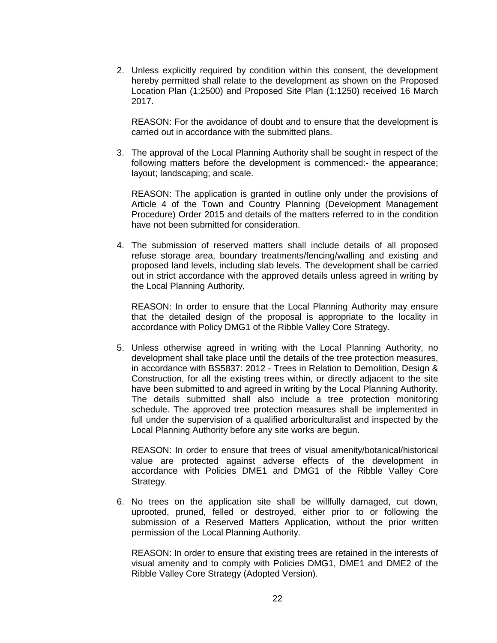2. Unless explicitly required by condition within this consent, the development hereby permitted shall relate to the development as shown on the Proposed Location Plan (1:2500) and Proposed Site Plan (1:1250) received 16 March 2017.

REASON: For the avoidance of doubt and to ensure that the development is carried out in accordance with the submitted plans.

3. The approval of the Local Planning Authority shall be sought in respect of the following matters before the development is commenced:- the appearance; layout; landscaping; and scale.

REASON: The application is granted in outline only under the provisions of Article 4 of the Town and Country Planning (Development Management Procedure) Order 2015 and details of the matters referred to in the condition have not been submitted for consideration.

4. The submission of reserved matters shall include details of all proposed refuse storage area, boundary treatments/fencing/walling and existing and proposed land levels, including slab levels. The development shall be carried out in strict accordance with the approved details unless agreed in writing by the Local Planning Authority.

REASON: In order to ensure that the Local Planning Authority may ensure that the detailed design of the proposal is appropriate to the locality in accordance with Policy DMG1 of the Ribble Valley Core Strategy.

5. Unless otherwise agreed in writing with the Local Planning Authority, no development shall take place until the details of the tree protection measures, in accordance with BS5837: 2012 - Trees in Relation to Demolition, Design & Construction, for all the existing trees within, or directly adjacent to the site have been submitted to and agreed in writing by the Local Planning Authority. The details submitted shall also include a tree protection monitoring schedule. The approved tree protection measures shall be implemented in full under the supervision of a qualified arboriculturalist and inspected by the Local Planning Authority before any site works are begun.

REASON: In order to ensure that trees of visual amenity/botanical/historical value are protected against adverse effects of the development in accordance with Policies DME1 and DMG1 of the Ribble Valley Core Strategy.

6. No trees on the application site shall be willfully damaged, cut down, uprooted, pruned, felled or destroyed, either prior to or following the submission of a Reserved Matters Application, without the prior written permission of the Local Planning Authority.

REASON: In order to ensure that existing trees are retained in the interests of visual amenity and to comply with Policies DMG1, DME1 and DME2 of the Ribble Valley Core Strategy (Adopted Version).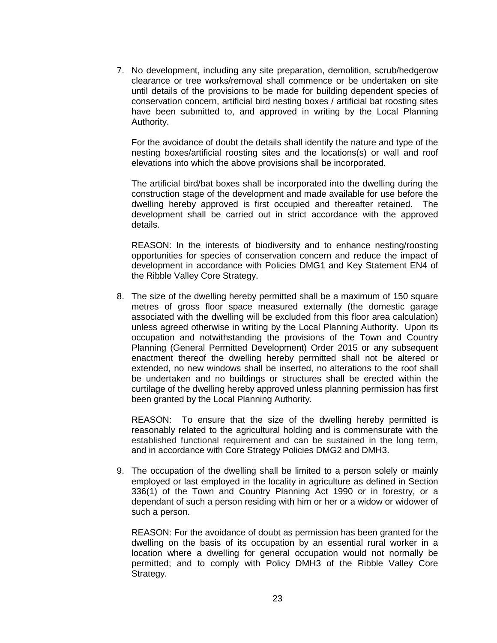7. No development, including any site preparation, demolition, scrub/hedgerow clearance or tree works/removal shall commence or be undertaken on site until details of the provisions to be made for building dependent species of conservation concern, artificial bird nesting boxes / artificial bat roosting sites have been submitted to, and approved in writing by the Local Planning Authority.

For the avoidance of doubt the details shall identify the nature and type of the nesting boxes/artificial roosting sites and the locations(s) or wall and roof elevations into which the above provisions shall be incorporated.

The artificial bird/bat boxes shall be incorporated into the dwelling during the construction stage of the development and made available for use before the dwelling hereby approved is first occupied and thereafter retained. The development shall be carried out in strict accordance with the approved details.

REASON: In the interests of biodiversity and to enhance nesting/roosting opportunities for species of conservation concern and reduce the impact of development in accordance with Policies DMG1 and Key Statement EN4 of the Ribble Valley Core Strategy.

8. The size of the dwelling hereby permitted shall be a maximum of 150 square metres of gross floor space measured externally (the domestic garage associated with the dwelling will be excluded from this floor area calculation) unless agreed otherwise in writing by the Local Planning Authority. Upon its occupation and notwithstanding the provisions of the Town and Country Planning (General Permitted Development) Order 2015 or any subsequent enactment thereof the dwelling hereby permitted shall not be altered or extended, no new windows shall be inserted, no alterations to the roof shall be undertaken and no buildings or structures shall be erected within the curtilage of the dwelling hereby approved unless planning permission has first been granted by the Local Planning Authority.

REASON: To ensure that the size of the dwelling hereby permitted is reasonably related to the agricultural holding and is commensurate with the established functional requirement and can be sustained in the long term, and in accordance with Core Strategy Policies DMG2 and DMH3.

9. The occupation of the dwelling shall be limited to a person solely or mainly employed or last employed in the locality in agriculture as defined in Section 336(1) of the Town and Country Planning Act 1990 or in forestry, or a dependant of such a person residing with him or her or a widow or widower of such a person.

REASON: For the avoidance of doubt as permission has been granted for the dwelling on the basis of its occupation by an essential rural worker in a location where a dwelling for general occupation would not normally be permitted; and to comply with Policy DMH3 of the Ribble Valley Core Strategy.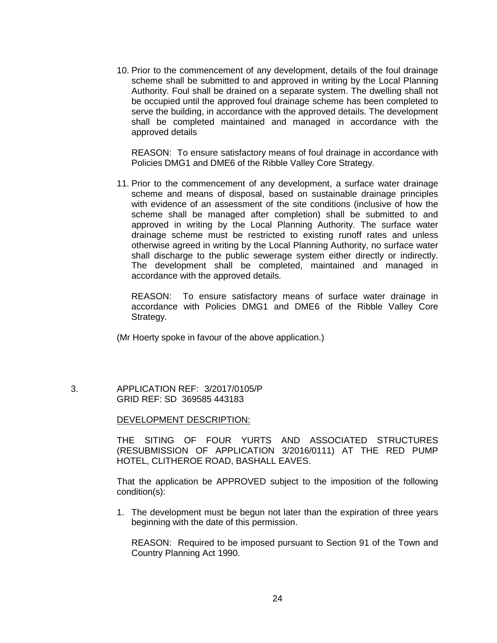10. Prior to the commencement of any development, details of the foul drainage scheme shall be submitted to and approved in writing by the Local Planning Authority. Foul shall be drained on a separate system. The dwelling shall not be occupied until the approved foul drainage scheme has been completed to serve the building, in accordance with the approved details. The development shall be completed maintained and managed in accordance with the approved details

REASON: To ensure satisfactory means of foul drainage in accordance with Policies DMG1 and DME6 of the Ribble Valley Core Strategy.

11. Prior to the commencement of any development, a surface water drainage scheme and means of disposal, based on sustainable drainage principles with evidence of an assessment of the site conditions (inclusive of how the scheme shall be managed after completion) shall be submitted to and approved in writing by the Local Planning Authority. The surface water drainage scheme must be restricted to existing runoff rates and unless otherwise agreed in writing by the Local Planning Authority, no surface water shall discharge to the public sewerage system either directly or indirectly. The development shall be completed, maintained and managed in accordance with the approved details.

REASON: To ensure satisfactory means of surface water drainage in accordance with Policies DMG1 and DME6 of the Ribble Valley Core Strategy.

(Mr Hoerty spoke in favour of the above application.)

 3. APPLICATION REF: 3/2017/0105/P GRID REF: SD 369585 443183

# DEVELOPMENT DESCRIPTION:

THE SITING OF FOUR YURTS AND ASSOCIATED STRUCTURES (RESUBMISSION OF APPLICATION 3/2016/0111) AT THE RED PUMP HOTEL, CLITHEROE ROAD, BASHALL EAVES.

That the application be APPROVED subject to the imposition of the following condition(s):

1. The development must be begun not later than the expiration of three years beginning with the date of this permission.

REASON: Required to be imposed pursuant to Section 91 of the Town and Country Planning Act 1990.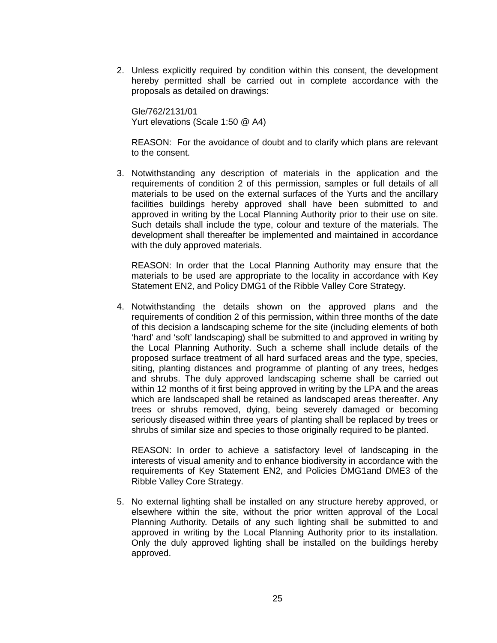2. Unless explicitly required by condition within this consent, the development hereby permitted shall be carried out in complete accordance with the proposals as detailed on drawings:

Gle/762/2131/01 Yurt elevations (Scale 1:50 @ A4)

REASON: For the avoidance of doubt and to clarify which plans are relevant to the consent.

3. Notwithstanding any description of materials in the application and the requirements of condition 2 of this permission, samples or full details of all materials to be used on the external surfaces of the Yurts and the ancillary facilities buildings hereby approved shall have been submitted to and approved in writing by the Local Planning Authority prior to their use on site. Such details shall include the type, colour and texture of the materials. The development shall thereafter be implemented and maintained in accordance with the duly approved materials.

REASON: In order that the Local Planning Authority may ensure that the materials to be used are appropriate to the locality in accordance with Key Statement EN2, and Policy DMG1 of the Ribble Valley Core Strategy.

4. Notwithstanding the details shown on the approved plans and the requirements of condition 2 of this permission, within three months of the date of this decision a landscaping scheme for the site (including elements of both 'hard' and 'soft' landscaping) shall be submitted to and approved in writing by the Local Planning Authority. Such a scheme shall include details of the proposed surface treatment of all hard surfaced areas and the type, species, siting, planting distances and programme of planting of any trees, hedges and shrubs. The duly approved landscaping scheme shall be carried out within 12 months of it first being approved in writing by the LPA and the areas which are landscaped shall be retained as landscaped areas thereafter. Any trees or shrubs removed, dying, being severely damaged or becoming seriously diseased within three years of planting shall be replaced by trees or shrubs of similar size and species to those originally required to be planted.

REASON: In order to achieve a satisfactory level of landscaping in the interests of visual amenity and to enhance biodiversity in accordance with the requirements of Key Statement EN2, and Policies DMG1and DME3 of the Ribble Valley Core Strategy.

5. No external lighting shall be installed on any structure hereby approved, or elsewhere within the site, without the prior written approval of the Local Planning Authority. Details of any such lighting shall be submitted to and approved in writing by the Local Planning Authority prior to its installation. Only the duly approved lighting shall be installed on the buildings hereby approved.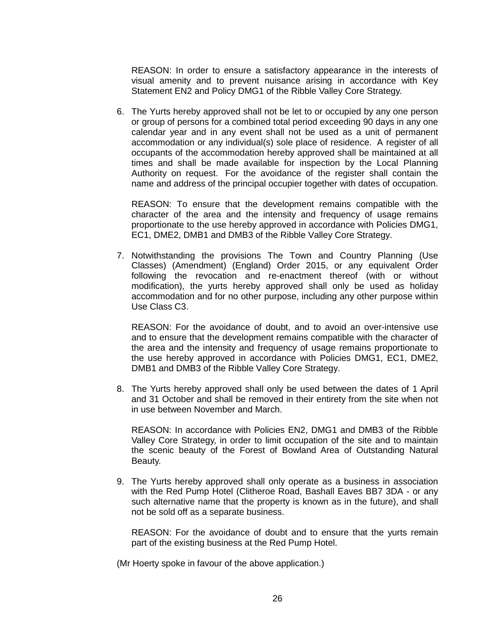REASON: In order to ensure a satisfactory appearance in the interests of visual amenity and to prevent nuisance arising in accordance with Key Statement EN2 and Policy DMG1 of the Ribble Valley Core Strategy.

6. The Yurts hereby approved shall not be let to or occupied by any one person or group of persons for a combined total period exceeding 90 days in any one calendar year and in any event shall not be used as a unit of permanent accommodation or any individual(s) sole place of residence. A register of all occupants of the accommodation hereby approved shall be maintained at all times and shall be made available for inspection by the Local Planning Authority on request. For the avoidance of the register shall contain the name and address of the principal occupier together with dates of occupation.

REASON: To ensure that the development remains compatible with the character of the area and the intensity and frequency of usage remains proportionate to the use hereby approved in accordance with Policies DMG1, EC1, DME2, DMB1 and DMB3 of the Ribble Valley Core Strategy.

7. Notwithstanding the provisions The Town and Country Planning (Use Classes) (Amendment) (England) Order 2015, or any equivalent Order following the revocation and re-enactment thereof (with or without modification), the yurts hereby approved shall only be used as holiday accommodation and for no other purpose, including any other purpose within Use Class C3.

REASON: For the avoidance of doubt, and to avoid an over-intensive use and to ensure that the development remains compatible with the character of the area and the intensity and frequency of usage remains proportionate to the use hereby approved in accordance with Policies DMG1, EC1, DME2, DMB1 and DMB3 of the Ribble Valley Core Strategy.

8. The Yurts hereby approved shall only be used between the dates of 1 April and 31 October and shall be removed in their entirety from the site when not in use between November and March.

REASON: In accordance with Policies EN2, DMG1 and DMB3 of the Ribble Valley Core Strategy, in order to limit occupation of the site and to maintain the scenic beauty of the Forest of Bowland Area of Outstanding Natural Beauty.

9. The Yurts hereby approved shall only operate as a business in association with the Red Pump Hotel (Clitheroe Road, Bashall Eaves BB7 3DA - or any such alternative name that the property is known as in the future), and shall not be sold off as a separate business.

REASON: For the avoidance of doubt and to ensure that the yurts remain part of the existing business at the Red Pump Hotel.

(Mr Hoerty spoke in favour of the above application.)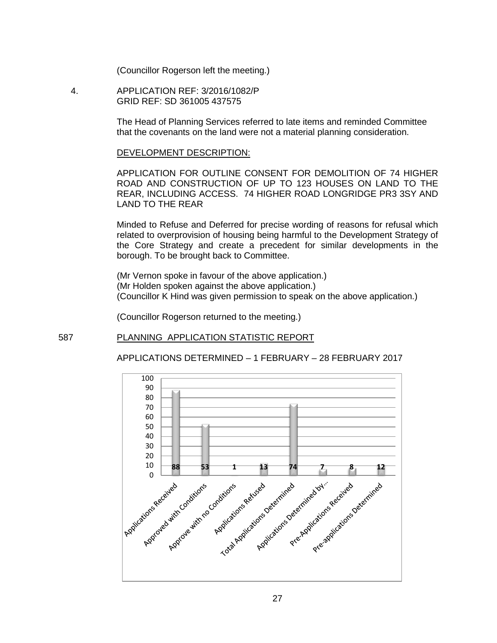(Councillor Rogerson left the meeting.)

 4. APPLICATION REF: 3/2016/1082/P GRID REF: SD 361005 437575

> The Head of Planning Services referred to late items and reminded Committee that the covenants on the land were not a material planning consideration.

#### DEVELOPMENT DESCRIPTION:

APPLICATION FOR OUTLINE CONSENT FOR DEMOLITION OF 74 HIGHER ROAD AND CONSTRUCTION OF UP TO 123 HOUSES ON LAND TO THE REAR, INCLUDING ACCESS. 74 HIGHER ROAD LONGRIDGE PR3 3SY AND LAND TO THE REAR

Minded to Refuse and Deferred for precise wording of reasons for refusal which related to overprovision of housing being harmful to the Development Strategy of the Core Strategy and create a precedent for similar developments in the borough. To be brought back to Committee.

(Mr Vernon spoke in favour of the above application.) (Mr Holden spoken against the above application.) (Councillor K Hind was given permission to speak on the above application.)

(Councillor Rogerson returned to the meeting.)

## 587 PLANNING APPLICATION STATISTIC REPORT



#### APPLICATIONS DETERMINED – 1 FEBRUARY – 28 FEBRUARY 2017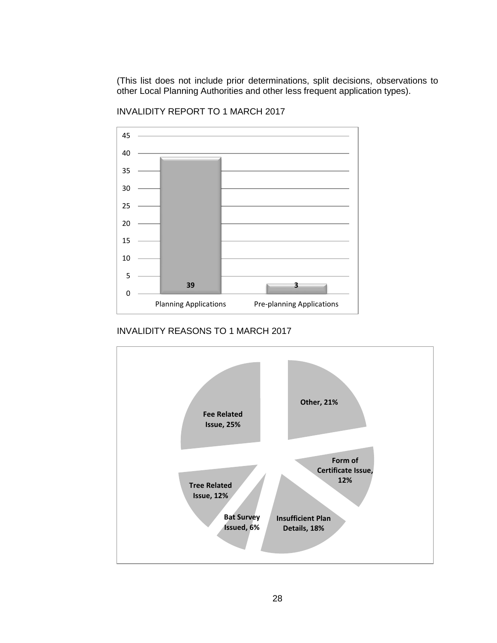(This list does not include prior determinations, split decisions, observations to other Local Planning Authorities and other less frequent application types).



INVALIDITY REPORT TO 1 MARCH 2017

INVALIDITY REASONS TO 1 MARCH 2017

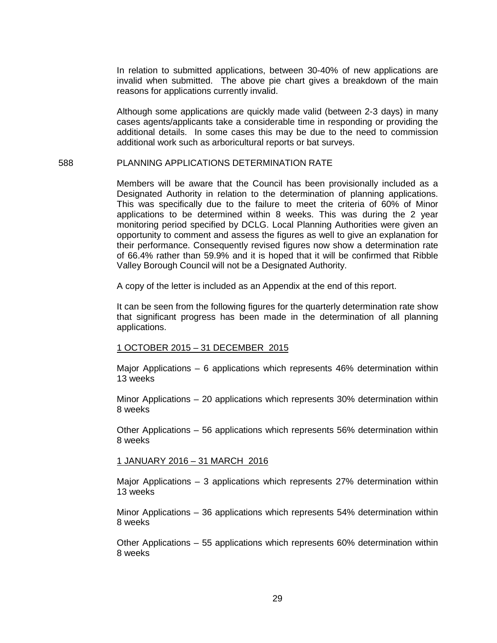In relation to submitted applications, between 30-40% of new applications are invalid when submitted. The above pie chart gives a breakdown of the main reasons for applications currently invalid.

Although some applications are quickly made valid (between 2-3 days) in many cases agents/applicants take a considerable time in responding or providing the additional details. In some cases this may be due to the need to commission additional work such as arboricultural reports or bat surveys.

#### 588 PLANNING APPLICATIONS DETERMINATION RATE

Members will be aware that the Council has been provisionally included as a Designated Authority in relation to the determination of planning applications. This was specifically due to the failure to meet the criteria of 60% of Minor applications to be determined within 8 weeks. This was during the 2 year monitoring period specified by DCLG. Local Planning Authorities were given an opportunity to comment and assess the figures as well to give an explanation for their performance. Consequently revised figures now show a determination rate of 66.4% rather than 59.9% and it is hoped that it will be confirmed that Ribble Valley Borough Council will not be a Designated Authority.

A copy of the letter is included as an Appendix at the end of this report.

It can be seen from the following figures for the quarterly determination rate show that significant progress has been made in the determination of all planning applications.

#### 1 OCTOBER 2015 – 31 DECEMBER 2015

Major Applications – 6 applications which represents 46% determination within 13 weeks

Minor Applications – 20 applications which represents 30% determination within 8 weeks

Other Applications – 56 applications which represents 56% determination within 8 weeks

#### 1 JANUARY 2016 – 31 MARCH 2016

Major Applications – 3 applications which represents 27% determination within 13 weeks

Minor Applications – 36 applications which represents 54% determination within 8 weeks

Other Applications – 55 applications which represents 60% determination within 8 weeks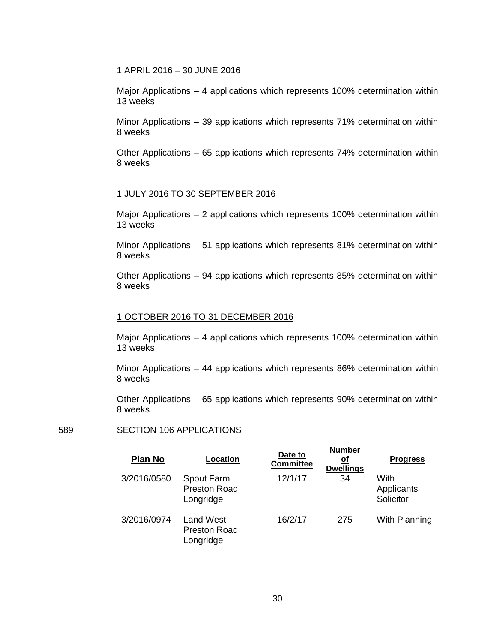### 1 APRIL 2016 – 30 JUNE 2016

Major Applications – 4 applications which represents 100% determination within 13 weeks

Minor Applications – 39 applications which represents 71% determination within 8 weeks

Other Applications – 65 applications which represents 74% determination within 8 weeks

# 1 JULY 2016 TO 30 SEPTEMBER 2016

Major Applications – 2 applications which represents 100% determination within 13 weeks

Minor Applications – 51 applications which represents 81% determination within 8 weeks

Other Applications – 94 applications which represents 85% determination within 8 weeks

#### 1 OCTOBER 2016 TO 31 DECEMBER 2016

Major Applications – 4 applications which represents 100% determination within 13 weeks

Minor Applications – 44 applications which represents 86% determination within 8 weeks

Other Applications – 65 applications which represents 90% determination within 8 weeks

**Number**

# 589 SECTION 106 APPLICATIONS

| <b>Plan No</b> | Location                                             | Date to<br><b>Committee</b> | 1141111141<br>οf<br><b>Dwellings</b> | <b>Progress</b>                 |
|----------------|------------------------------------------------------|-----------------------------|--------------------------------------|---------------------------------|
| 3/2016/0580    | Spout Farm<br><b>Preston Road</b><br>Longridge       | 12/1/17                     | 34                                   | With<br>Applicants<br>Solicitor |
| 3/2016/0974    | <b>Land West</b><br><b>Preston Road</b><br>Longridge | 16/2/17                     | 275                                  | With Planning                   |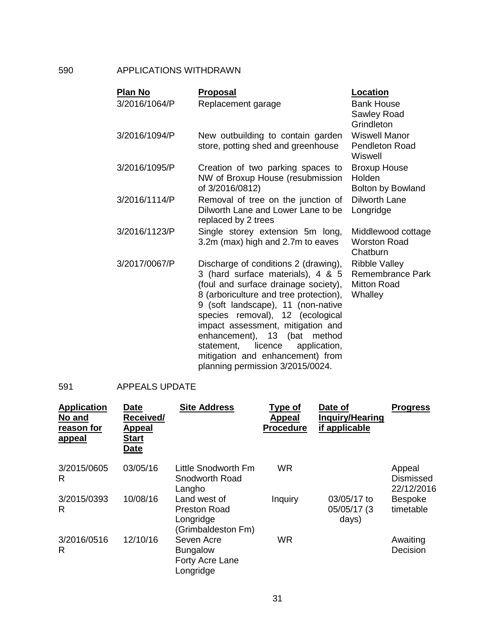# 590 APPLICATIONS WITHDRAWN

| <b>Plan No</b> | <b>Proposal</b>                                                                                                                                                                                                                                                                                                                                                                                                                | Location                                                                         |
|----------------|--------------------------------------------------------------------------------------------------------------------------------------------------------------------------------------------------------------------------------------------------------------------------------------------------------------------------------------------------------------------------------------------------------------------------------|----------------------------------------------------------------------------------|
| 3/2016/1064/P  | Replacement garage                                                                                                                                                                                                                                                                                                                                                                                                             | <b>Bank House</b><br>Sawley Road                                                 |
| 3/2016/1094/P  | New outbuilding to contain garden                                                                                                                                                                                                                                                                                                                                                                                              | Grindleton<br><b>Wiswell Manor</b>                                               |
|                | store, potting shed and greenhouse                                                                                                                                                                                                                                                                                                                                                                                             | <b>Pendleton Road</b><br>Wiswell                                                 |
| 3/2016/1095/P  | Creation of two parking spaces to<br>NW of Broxup House (resubmission<br>of 3/2016/0812)                                                                                                                                                                                                                                                                                                                                       | <b>Broxup House</b><br>Holden<br><b>Bolton by Bowland</b>                        |
| 3/2016/1114/P  | Removal of tree on the junction of<br>Dilworth Lane and Lower Lane to be<br>replaced by 2 trees                                                                                                                                                                                                                                                                                                                                | Dilworth Lane<br>Longridge                                                       |
| 3/2016/1123/P  | Single storey extension 5m long,<br>3.2m (max) high and 2.7m to eaves                                                                                                                                                                                                                                                                                                                                                          | Middlewood cottage<br><b>Worston Road</b><br>Chatburn                            |
| 3/2017/0067/P  | Discharge of conditions 2 (drawing),<br>3 (hard surface materials), 4 & 5<br>(foul and surface drainage society),<br>8 (arboriculture and tree protection),<br>9 (soft landscape), 11 (non-native<br>species removal), 12 (ecological<br>impact assessment, mitigation and<br>enhancement), 13 (bat<br>method<br>statement,<br>licence<br>application,<br>mitigation and enhancement) from<br>planning permission 3/2015/0024. | <b>Ribble Valley</b><br><b>Remembrance Park</b><br><b>Mitton Road</b><br>Whalley |

# 591 APPEALS UPDATE

| <b>Application</b><br>No and<br>reason for<br><u>appeal</u> | <b>Date</b><br>Received/<br><b>Appeal</b><br><b>Start</b><br><b>Date</b> | <b>Site Address</b>                                                    | Type of<br>Appeal<br><b>Procedure</b> | Date of<br><b>Inquiry/Hearing</b><br>if applicable | <b>Progress</b>                          |
|-------------------------------------------------------------|--------------------------------------------------------------------------|------------------------------------------------------------------------|---------------------------------------|----------------------------------------------------|------------------------------------------|
| 3/2015/0605<br>R                                            | 03/05/16                                                                 | Little Snodworth Fm<br>Snodworth Road<br>Langho                        | <b>WR</b>                             |                                                    | Appeal<br><b>Dismissed</b><br>22/12/2016 |
| 3/2015/0393<br>R                                            | 10/08/16                                                                 | Land west of<br><b>Preston Road</b><br>Longridge<br>(Grimbaldeston Fm) | Inquiry                               | 03/05/17 to<br>05/05/17 (3<br>days)                | <b>Bespoke</b><br>timetable              |
| 3/2016/0516<br>R                                            | 12/10/16                                                                 | Seven Acre<br><b>Bungalow</b><br>Forty Acre Lane<br>Longridge          | <b>WR</b>                             |                                                    | Awaiting<br>Decision                     |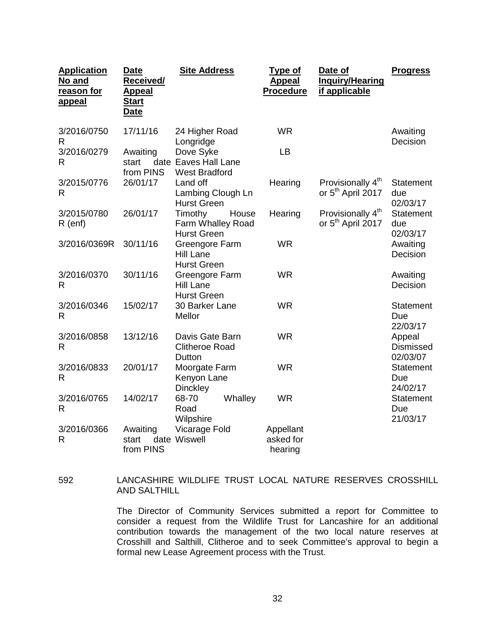| <b>Application</b><br>No and<br>reason for<br><b>appeal</b> | <b>Date</b><br><b>Received/</b><br><u>Appeal</u><br><u>Start</u><br><u>Date</u> | <b>Site Address</b>                                         | <b>Type of</b><br><b>Appeal</b><br><b>Procedure</b> | Date of<br><b>Inquiry/Hearing</b><br>if applicable             | <b>Progress</b>                        |
|-------------------------------------------------------------|---------------------------------------------------------------------------------|-------------------------------------------------------------|-----------------------------------------------------|----------------------------------------------------------------|----------------------------------------|
| 3/2016/0750<br>R                                            | 17/11/16                                                                        | 24 Higher Road<br>Longridge                                 | <b>WR</b>                                           |                                                                | Awaiting<br>Decision                   |
| 3/2016/0279<br>R                                            | Awaiting<br>start<br>from PINS                                                  | Dove Syke<br>date Eaves Hall Lane<br><b>West Bradford</b>   | LB                                                  |                                                                |                                        |
| 3/2015/0776<br>R                                            | 26/01/17                                                                        | Land off<br>Lambing Clough Ln<br><b>Hurst Green</b>         | Hearing                                             | Provisionally 4 <sup>th</sup><br>or 5 <sup>th</sup> April 2017 | <b>Statement</b><br>due<br>02/03/17    |
| 3/2015/0780<br>$R$ (enf)                                    | 26/01/17                                                                        | Timothy<br>House<br>Farm Whalley Road<br><b>Hurst Green</b> | Hearing                                             | Provisionally 4 <sup>th</sup><br>or 5 <sup>th</sup> April 2017 | Statement<br>due<br>02/03/17           |
| 3/2016/0369R                                                | 30/11/16                                                                        | Greengore Farm<br><b>Hill Lane</b><br><b>Hurst Green</b>    | <b>WR</b>                                           |                                                                | Awaiting<br>Decision                   |
| 3/2016/0370<br>R                                            | 30/11/16                                                                        | Greengore Farm<br><b>Hill Lane</b><br><b>Hurst Green</b>    | <b>WR</b>                                           |                                                                | Awaiting<br>Decision                   |
| 3/2016/0346<br>R                                            | 15/02/17                                                                        | 30 Barker Lane<br>Mellor                                    | <b>WR</b>                                           |                                                                | Statement<br>Due<br>22/03/17           |
| 3/2016/0858<br>R                                            | 13/12/16                                                                        | Davis Gate Barn<br><b>Clitheroe Road</b><br>Dutton          | <b>WR</b>                                           |                                                                | Appeal<br><b>Dismissed</b><br>02/03/07 |
| 3/2016/0833<br>R                                            | 20/01/17                                                                        | Moorgate Farm<br>Kenyon Lane<br><b>Dinckley</b>             | <b>WR</b>                                           |                                                                | <b>Statement</b><br>Due<br>24/02/17    |
| 3/2016/0765<br>R                                            | 14/02/17                                                                        | 68-70<br>Whalley<br>Road<br>Wilpshire                       | <b>WR</b>                                           |                                                                | <b>Statement</b><br>Due<br>21/03/17    |
| 3/2016/0366<br>R                                            | Awaiting<br>start<br>from PINS                                                  | Vicarage Fold<br>date Wiswell                               | Appellant<br>asked for<br>hearing                   |                                                                |                                        |

# 592 LANCASHIRE WILDLIFE TRUST LOCAL NATURE RESERVES CROSSHILL AND SALTHILL

The Director of Community Services submitted a report for Committee to consider a request from the Wildlife Trust for Lancashire for an additional contribution towards the management of the two local nature reserves at Crosshill and Salthill, Clitheroe and to seek Committee's approval to begin a formal new Lease Agreement process with the Trust.